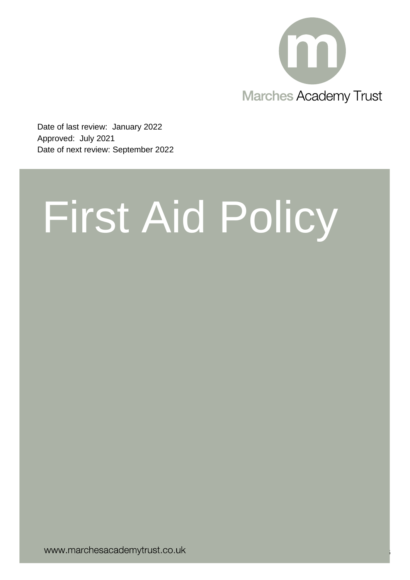

Page **1** of **16**

Date of last review: January 2022 Approved: July 2021 Date of next review: September 2022

# First Aid Policy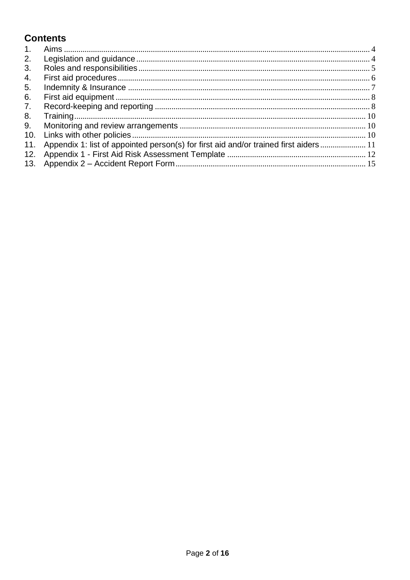# **Contents**

| 1.             |                                                                                       |  |
|----------------|---------------------------------------------------------------------------------------|--|
| 2.             |                                                                                       |  |
| 3.             |                                                                                       |  |
| 4.             |                                                                                       |  |
| 5.             |                                                                                       |  |
| 6.             |                                                                                       |  |
| 7 <sub>1</sub> |                                                                                       |  |
| 8.             |                                                                                       |  |
| 9.             |                                                                                       |  |
| 10.            |                                                                                       |  |
| 11.            | Appendix 1: list of appointed person(s) for first aid and/or trained first aiders  11 |  |
| 12.            |                                                                                       |  |
| 13.            |                                                                                       |  |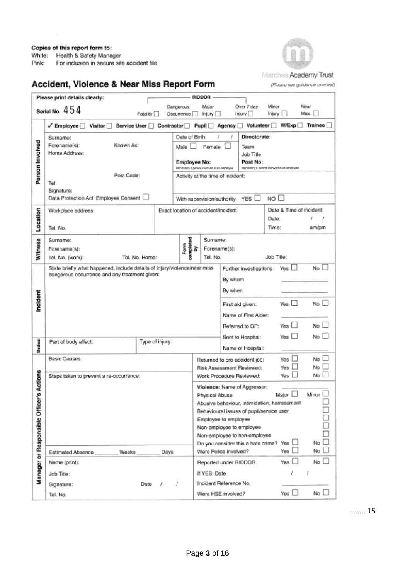White: Health & Safety Manager

Pink: For inclusion in secure site accident file



# Accident, Violence & Near Miss Report Form

(Please see guidance overleaf)

|                                | Please print details clearly:                                                                                              |                           |                                                                                                      | RIDDOR                                                                                                                            |                                                             |                                   |                |  |  |  |
|--------------------------------|----------------------------------------------------------------------------------------------------------------------------|---------------------------|------------------------------------------------------------------------------------------------------|-----------------------------------------------------------------------------------------------------------------------------------|-------------------------------------------------------------|-----------------------------------|----------------|--|--|--|
|                                |                                                                                                                            |                           | Dangerous                                                                                            | Major                                                                                                                             | Over 7 day                                                  | Minor                             | Near           |  |  |  |
|                                | Serial No. $454$                                                                                                           | Fatality                  | Occurrence <sub>[1]</sub>                                                                            | Injury I                                                                                                                          | Injury <sup>1</sup>                                         | Injury                            | Miss           |  |  |  |
|                                | Visitor <sup>1</sup><br>Service User<br>$\sqrt{\mathsf{Employee}}$                                                         | Contractor <sup>[1]</sup> |                                                                                                      | $P$ upil $\Box$                                                                                                                   | Agency   Volunteer                                          | W/Exp                             | <b>Trainee</b> |  |  |  |
| Person Involved                | Surname:<br>Known As:<br>Forename(s):<br>Home Address:                                                                     |                           | Date of Birth:<br>Male I                                                                             | Female                                                                                                                            | Directorate:<br>Team<br>Job Title                           |                                   |                |  |  |  |
|                                |                                                                                                                            |                           | <b>Employee No:</b>                                                                                  |                                                                                                                                   | Post No:                                                    |                                   |                |  |  |  |
|                                | Post Code:<br>Tel:<br>Signature:                                                                                           |                           |                                                                                                      | Handstery if person involved is an employee<br>lifandatory if person involved is an employee<br>Activity at the time of incident: |                                                             |                                   |                |  |  |  |
|                                | Data Protection Act. Employee Consent                                                                                      |                           |                                                                                                      | With supervision/authority                                                                                                        | YES $\Box$                                                  | NO                                |                |  |  |  |
|                                | Workplace address:                                                                                                         |                           |                                                                                                      | Exact location of accident/incident                                                                                               |                                                             | Date & Time of incident:<br>Date: | 1<br>J         |  |  |  |
| Location                       | Tel. No.                                                                                                                   |                           |                                                                                                      |                                                                                                                                   |                                                             | Time:                             | am/pm          |  |  |  |
|                                | Surname:                                                                                                                   |                           |                                                                                                      | Sumame:                                                                                                                           |                                                             |                                   |                |  |  |  |
| <b>Witness</b>                 | Forename(s):                                                                                                               |                           | $\begin{array}{c} \hline \text{Form} \\ \text{completed} \\ \text{onplied} \\ \text{by} \end{array}$ |                                                                                                                                   | Forename(s):                                                |                                   |                |  |  |  |
|                                | Tel. No. (work):                                                                                                           | Tel. No. Home:            |                                                                                                      | Tel. No.                                                                                                                          |                                                             | Job Title:                        |                |  |  |  |
|                                | State briefly what happened, include details of injury/violence/near miss<br>dangerous occurrence and any treatment given: |                           |                                                                                                      |                                                                                                                                   | Further investigations                                      | Yes                               | $No$ $\Box$    |  |  |  |
|                                |                                                                                                                            |                           |                                                                                                      |                                                                                                                                   | By whom                                                     |                                   |                |  |  |  |
|                                |                                                                                                                            |                           |                                                                                                      |                                                                                                                                   | By when                                                     |                                   |                |  |  |  |
| ncident                        |                                                                                                                            |                           |                                                                                                      | Yes $\Box$<br>No $\square$<br>First aid given:                                                                                    |                                                             |                                   |                |  |  |  |
|                                |                                                                                                                            |                           |                                                                                                      |                                                                                                                                   |                                                             |                                   |                |  |  |  |
|                                |                                                                                                                            |                           |                                                                                                      |                                                                                                                                   | Referred to GP:                                             | Yes $\Box$                        | No             |  |  |  |
|                                | Part of body affect:                                                                                                       | Type of injury:           |                                                                                                      |                                                                                                                                   | Sent to Hospital:                                           | Yes $\Box$                        | No L           |  |  |  |
| Medical                        |                                                                                                                            |                           |                                                                                                      |                                                                                                                                   | Name of Hospital:                                           |                                   |                |  |  |  |
|                                | Basic Causes:                                                                                                              |                           |                                                                                                      |                                                                                                                                   | Returned to pre-accident job:                               | Yes                               | No             |  |  |  |
|                                | Steps taken to prevent a re-occurrence:                                                                                    |                           |                                                                                                      |                                                                                                                                   | Risk Assessment Reviewed:<br>Work Procedure Reviewed:       | Yes<br>Yes                        | No<br>No       |  |  |  |
| Actions                        |                                                                                                                            |                           |                                                                                                      |                                                                                                                                   | Violence: Name of Aggressor:                                |                                   |                |  |  |  |
| œ,                             |                                                                                                                            |                           |                                                                                                      | Physical Abuse                                                                                                                    |                                                             | Major                             | Minor          |  |  |  |
|                                |                                                                                                                            |                           |                                                                                                      | Abusive behaviour, intimidation, harrassment                                                                                      |                                                             |                                   |                |  |  |  |
|                                |                                                                                                                            |                           |                                                                                                      | Behavioural issues of pupil/service user<br>Employee to employee                                                                  |                                                             |                                   |                |  |  |  |
|                                |                                                                                                                            |                           |                                                                                                      | Non-employee to employee                                                                                                          |                                                             |                                   |                |  |  |  |
|                                |                                                                                                                            |                           |                                                                                                      |                                                                                                                                   | Non-employee to non-employee                                | Yes                               | No             |  |  |  |
|                                | Estimated Absence<br>Weeks                                                                                                 | Days                      |                                                                                                      |                                                                                                                                   | Do you consider this a hate crime?<br>Were Police involved? | Yes                               | No             |  |  |  |
|                                | Name (print):                                                                                                              |                           |                                                                                                      |                                                                                                                                   | Reported under RIDDOR                                       | Yes                               | No             |  |  |  |
| Manager or Responsible Officer | Job Title:                                                                                                                 |                           |                                                                                                      | If YES: Date                                                                                                                      |                                                             |                                   |                |  |  |  |
|                                | Signature:                                                                                                                 | Date                      | 1                                                                                                    |                                                                                                                                   | Incident Reference No.                                      |                                   |                |  |  |  |
|                                | Tel. No.                                                                                                                   |                           |                                                                                                      |                                                                                                                                   | Were HSE involved?                                          | Yes ∟                             | No             |  |  |  |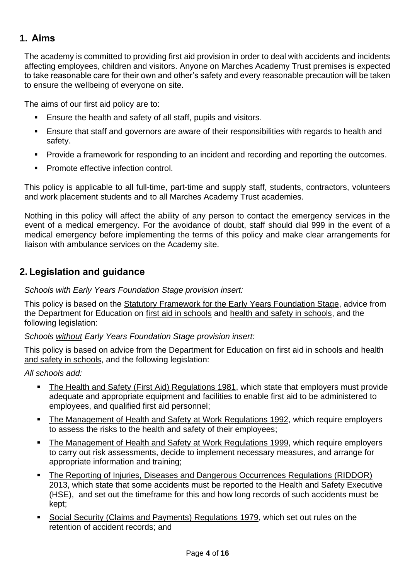# <span id="page-3-0"></span>**1. Aims**

The academy is committed to providing first aid provision in order to deal with accidents and incidents affecting employees, children and visitors. Anyone on Marches Academy Trust premises is expected to take reasonable care for their own and other's safety and every reasonable precaution will be taken to ensure the wellbeing of everyone on site.

The aims of our first aid policy are to:

- Ensure the health and safety of all staff, pupils and visitors.
- Ensure that staff and governors are aware of their responsibilities with regards to health and safety.
- Provide a framework for responding to an incident and recording and reporting the outcomes.
- Promote effective infection control.

This policy is applicable to all full-time, part-time and supply staff, students, contractors, volunteers and work placement students and to all Marches Academy Trust academies.

Nothing in this policy will affect the ability of any person to contact the emergency services in the event of a medical emergency. For the avoidance of doubt, staff should dial 999 in the event of a medical emergency before implementing the terms of this policy and make clear arrangements for liaison with ambulance services on the Academy site.

# <span id="page-3-1"></span>**2. Legislation and guidance**

## *Schools with Early Years Foundation Stage provision insert:*

This policy is based on the **Statutory Framework for the Early Years Foundation Stage**, advice from the Department for Education on [first aid in schools](https://www.gov.uk/government/publications/first-aid-in-schools) and [health and safety in schools,](https://www.gov.uk/government/publications/health-and-safety-advice-for-schools) and the following legislation:

*Schools without Early Years Foundation Stage provision insert:*

This policy is based on advice from the Department for Education on [first aid in schools](https://www.gov.uk/government/publications/first-aid-in-schools) and [health](https://www.gov.uk/government/publications/health-and-safety-advice-for-schools)  [and safety in schools,](https://www.gov.uk/government/publications/health-and-safety-advice-for-schools) and the following legislation:

## *All schools add:*

- **EXTER Health and Safety (First Aid) Regulations 1981, which state that employers must provide** adequate and appropriate equipment and facilities to enable first aid to be administered to employees, and qualified first aid personnel;
- [The Management of Health and Safety at Work Regulations 1992,](http://www.legislation.gov.uk/uksi/1992/2051/regulation/3/made) which require employers to assess the risks to the health and safety of their employees;
- [The Management of Health and Safety at Work Regulations 1999,](http://www.legislation.gov.uk/uksi/1999/3242/contents/made) which require employers to carry out risk assessments, decide to implement necessary measures, and arrange for appropriate information and training;
- [The Reporting of Injuries, Diseases and Dangerous Occurrences Regulations \(RIDDOR\)](http://www.legislation.gov.uk/uksi/2013/1471/schedule/1/paragraph/1/made)  [2013,](http://www.legislation.gov.uk/uksi/2013/1471/schedule/1/paragraph/1/made) which state that some accidents must be reported to the Health and Safety Executive (HSE), and set out the timeframe for this and how long records of such accidents must be kept;
- [Social Security \(Claims and Payments\) Regulations 1979,](http://www.legislation.gov.uk/uksi/1979/628) which set out rules on the retention of accident records; and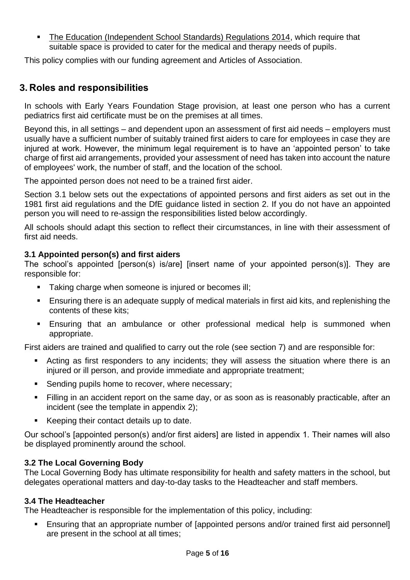[The Education \(Independent School Standards\) Regulations 2014,](http://www.legislation.gov.uk/uksi/2014/3283/schedule/made) which require that suitable space is provided to cater for the medical and therapy needs of pupils.

This policy complies with our funding agreement and Articles of Association.

# <span id="page-4-0"></span>**3. Roles and responsibilities**

In schools with Early Years Foundation Stage provision, at least one person who has a current pediatrics first aid certificate must be on the premises at all times.

Beyond this, in all settings – and dependent upon an assessment of first aid needs – employers must usually have a sufficient number of suitably trained first aiders to care for employees in case they are injured at work. However, the minimum legal requirement is to have an 'appointed person' to take charge of first aid arrangements, provided your assessment of need has taken into account the nature of employees' work, the number of staff, and the location of the school.

The appointed person does not need to be a trained first aider.

Section 3.1 below sets out the expectations of appointed persons and first aiders as set out in the 1981 first aid regulations and the DfE guidance listed in section 2. If you do not have an appointed person you will need to re-assign the responsibilities listed below accordingly.

All schools should adapt this section to reflect their circumstances, in line with their assessment of first aid needs.

## **3.1 Appointed person(s) and first aiders**

The school's appointed [person(s) is/are] [insert name of your appointed person(s)]. They are responsible for:

- Taking charge when someone is injured or becomes ill;
- Ensuring there is an adequate supply of medical materials in first aid kits, and replenishing the contents of these kits;
- **Ensuring that an ambulance or other professional medical help is summoned when** appropriate.

First aiders are trained and qualified to carry out the role (see section 7) and are responsible for:

- Acting as first responders to any incidents; they will assess the situation where there is an injured or ill person, and provide immediate and appropriate treatment;
- Sending pupils home to recover, where necessary;
- Filling in an accident report on the same day, or as soon as is reasonably practicable, after an incident (see the template in appendix 2);
- Keeping their contact details up to date.

Our school's [appointed person(s) and/or first aiders] are listed in appendix 1. Their names will also be displayed prominently around the school.

## **3.2 The Local Governing Body**

The Local Governing Body has ultimate responsibility for health and safety matters in the school, but delegates operational matters and day-to-day tasks to the Headteacher and staff members.

## **3.4 The Headteacher**

The Headteacher is responsible for the implementation of this policy, including:

**Ensuring that an appropriate number of [appointed persons and/or trained first aid personnel]** are present in the school at all times;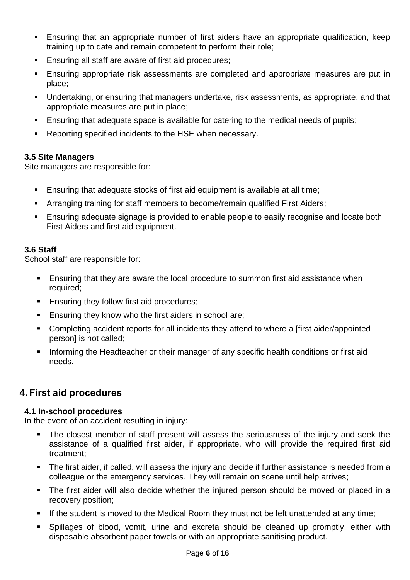- **Ensuring that an appropriate number of first aiders have an appropriate qualification, keep** training up to date and remain competent to perform their role;
- Ensuring all staff are aware of first aid procedures;
- **Ensuring appropriate risk assessments are completed and appropriate measures are put in** place;
- Undertaking, or ensuring that managers undertake, risk assessments, as appropriate, and that appropriate measures are put in place;
- Ensuring that adequate space is available for catering to the medical needs of pupils;
- Reporting specified incidents to the HSE when necessary.

## **3.5 Site Managers**

Site managers are responsible for:

- Ensuring that adequate stocks of first aid equipment is available at all time;
- **EXTERNITHERT Arranging training for staff members to become/remain qualified First Aiders;**
- **Ensuring adequate signage is provided to enable people to easily recognise and locate both** First Aiders and first aid equipment.

## **3.6 Staff**

School staff are responsible for:

- **E** Ensuring that they are aware the local procedure to summon first aid assistance when required;
- Ensuring they follow first aid procedures;
- Ensuring they know who the first aiders in school are;
- Completing accident reports for all incidents they attend to where a [first aider/appointed person] is not called;
- Informing the Headteacher or their manager of any specific health conditions or first aid needs.

# <span id="page-5-0"></span>**4. First aid procedures**

## **4.1 In-school procedures**

In the event of an accident resulting in injury:

- The closest member of staff present will assess the seriousness of the injury and seek the assistance of a qualified first aider, if appropriate, who will provide the required first aid treatment;
- The first aider, if called, will assess the injury and decide if further assistance is needed from a colleague or the emergency services. They will remain on scene until help arrives;
- **.** The first aider will also decide whether the injured person should be moved or placed in a recovery position;
- **E** If the student is moved to the Medical Room they must not be left unattended at any time;
- Spillages of blood, vomit, urine and excreta should be cleaned up promptly, either with disposable absorbent paper towels or with an appropriate sanitising product.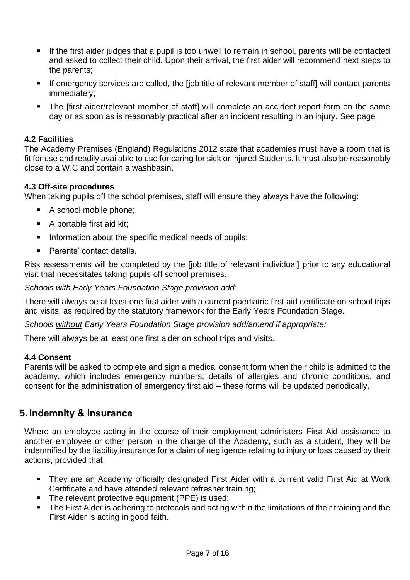- If the first aider judges that a pupil is too unwell to remain in school, parents will be contacted and asked to collect their child. Upon their arrival, the first aider will recommend next steps to the parents;
- **EXT** If emergency services are called, the [job title of relevant member of staff] will contact parents immediately;
- The [first aider/relevant member of staff] will complete an accident report form on the same day or as soon as is reasonably practical after an incident resulting in an injury. See page

## **4.2 Facilities**

The Academy Premises (England) Regulations 2012 state that academies must have a room that is fit for use and readily available to use for caring for sick or injured Students. It must also be reasonably close to a W.C and contain a washbasin.

## **4.3 Off-site procedures**

When taking pupils off the school premises, staff will ensure they always have the following:

- A school mobile phone;
- A portable first aid kit;
- **•** Information about the specific medical needs of pupils;
- Parents' contact details.

Risk assessments will be completed by the [job title of relevant individual] prior to any educational visit that necessitates taking pupils off school premises.

*Schools with Early Years Foundation Stage provision add:* 

There will always be at least one first aider with a current paediatric first aid certificate on school trips and visits, as required by the statutory framework for the Early Years Foundation Stage.

*Schools without Early Years Foundation Stage provision add/amend if appropriate:*

There will always be at least one first aider on school trips and visits.

#### **4.4 Consent**

Parents will be asked to complete and sign a medical consent form when their child is admitted to the academy, which includes emergency numbers, details of allergies and chronic conditions, and consent for the administration of emergency first aid – these forms will be updated periodically.

## <span id="page-6-0"></span>**5. Indemnity & Insurance**

Where an employee acting in the course of their employment administers First Aid assistance to another employee or other person in the charge of the Academy, such as a student, they will be indemnified by the liability insurance for a claim of negligence relating to injury or loss caused by their actions, provided that:

- **They are an Academy officially designated First Aider with a current valid First Aid at Work** Certificate and have attended relevant refresher training;
- The relevant protective equipment (PPE) is used;
- **The First Aider is adhering to protocols and acting within the limitations of their training and the** First Aider is acting in good faith.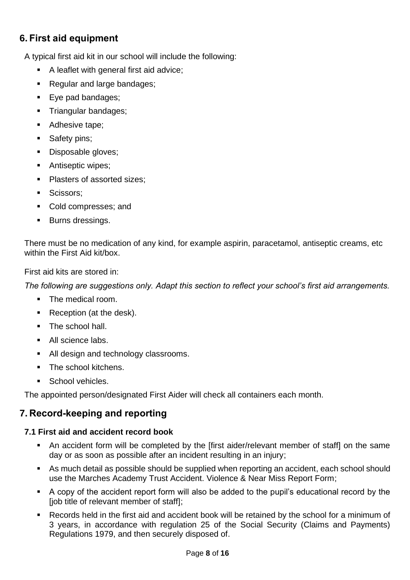# <span id="page-7-0"></span>**6. First aid equipment**

A typical first aid kit in our school will include the following:

- A leaflet with general first aid advice;
- Regular and large bandages;
- Eye pad bandages;
- **·** Triangular bandages;
- Adhesive tape;
- Safety pins;
- Disposable gloves;
- Antiseptic wipes;
- Plasters of assorted sizes:
- **■** Scissors;
- Cold compresses; and
- Burns dressings.

There must be no medication of any kind, for example aspirin, paracetamol, antiseptic creams, etc within the First Aid kit/box.

First aid kits are stored in:

*The following are suggestions only. Adapt this section to reflect your school's first aid arrangements.*

- The medical room.
- Reception (at the desk).
- The school hall.
- All science labs.
- All design and technology classrooms.
- The school kitchens.
- School vehicles.

<span id="page-7-1"></span>The appointed person/designated First Aider will check all containers each month.

# **7. Record-keeping and reporting**

# **7.1 First aid and accident record book**

- An accident form will be completed by the [first aider/relevant member of staff] on the same day or as soon as possible after an incident resulting in an injury;
- As much detail as possible should be supplied when reporting an accident, each school should use the Marches Academy Trust Accident. Violence & Near Miss Report Form;
- A copy of the accident report form will also be added to the pupil's educational record by the [job title of relevant member of staff];
- Records held in the first aid and accident book will be retained by the school for a minimum of 3 years, in accordance with regulation 25 of the Social Security (Claims and Payments) Regulations 1979, and then securely disposed of.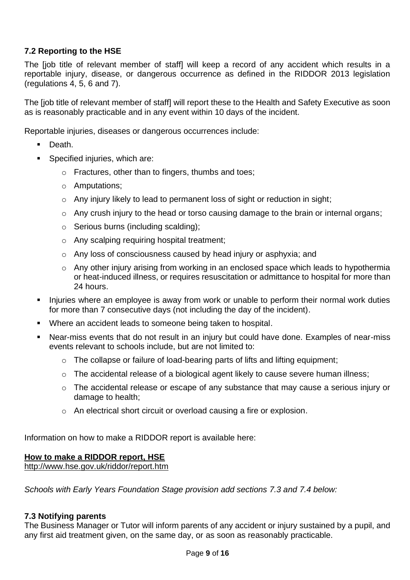## **7.2 Reporting to the HSE**

The [job title of relevant member of staff] will keep a record of any accident which results in a reportable injury, disease, or dangerous occurrence as defined in the RIDDOR 2013 legislation (regulations 4, 5, 6 and 7).

The [job title of relevant member of staff] will report these to the Health and Safety Executive as soon as is reasonably practicable and in any event within 10 days of the incident.

Reportable injuries, diseases or dangerous occurrences include:

- Death.
- Specified injuries, which are:
	- o Fractures, other than to fingers, thumbs and toes;
	- o Amputations;
	- o Any injury likely to lead to permanent loss of sight or reduction in sight;
	- o Any crush injury to the head or torso causing damage to the brain or internal organs;
	- o Serious burns (including scalding);
	- o Any scalping requiring hospital treatment;
	- o Any loss of consciousness caused by head injury or asphyxia; and
	- o Any other injury arising from working in an enclosed space which leads to hypothermia or heat-induced illness, or requires resuscitation or admittance to hospital for more than 24 hours.
- Injuries where an employee is away from work or unable to perform their normal work duties for more than 7 consecutive days (not including the day of the incident).
- Where an accident leads to someone being taken to hospital.
- Near-miss events that do not result in an injury but could have done. Examples of near-miss events relevant to schools include, but are not limited to:
	- o The collapse or failure of load-bearing parts of lifts and lifting equipment;
	- o The accidental release of a biological agent likely to cause severe human illness;
	- o The accidental release or escape of any substance that may cause a serious injury or damage to health;
	- o An electrical short circuit or overload causing a fire or explosion.

Information on how to make a RIDDOR report is available here:

## **[How to make a RIDDOR report, HSE](http://www.hse.gov.uk/riddor/report.htm)**

<http://www.hse.gov.uk/riddor/report.htm>

*Schools with Early Years Foundation Stage provision add sections 7.3 and 7.4 below:*

#### **7.3 Notifying parents**

The Business Manager or Tutor will inform parents of any accident or injury sustained by a pupil, and any first aid treatment given, on the same day, or as soon as reasonably practicable.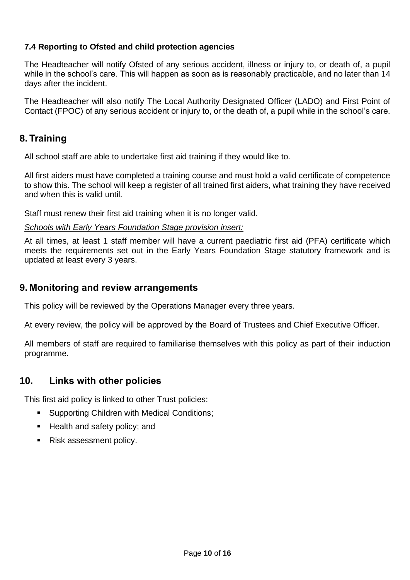## **7.4 Reporting to Ofsted and child protection agencies**

The Headteacher will notify Ofsted of any serious accident, illness or injury to, or death of, a pupil while in the school's care. This will happen as soon as is reasonably practicable, and no later than 14 days after the incident.

The Headteacher will also notify The Local Authority Designated Officer (LADO) and First Point of Contact (FPOC) of any serious accident or injury to, or the death of, a pupil while in the school's care.

## <span id="page-9-0"></span>**8. Training**

All school staff are able to undertake first aid training if they would like to.

All first aiders must have completed a training course and must hold a valid certificate of competence to show this. The school will keep a register of all trained first aiders, what training they have received and when this is valid until.

Staff must renew their first aid training when it is no longer valid.

#### *Schools with Early Years Foundation Stage provision insert:*

At all times, at least 1 staff member will have a current paediatric first aid (PFA) certificate which meets the requirements set out in the Early Years Foundation Stage statutory framework and is updated at least every 3 years.

## <span id="page-9-1"></span>**9. Monitoring and review arrangements**

This policy will be reviewed by the Operations Manager every three years.

At every review, the policy will be approved by the Board of Trustees and Chief Executive Officer.

All members of staff are required to familiarise themselves with this policy as part of their induction programme.

## <span id="page-9-2"></span>**10. Links with other policies**

This first aid policy is linked to other Trust policies:

- Supporting Children with Medical Conditions;
- Health and safety policy; and
- Risk assessment policy.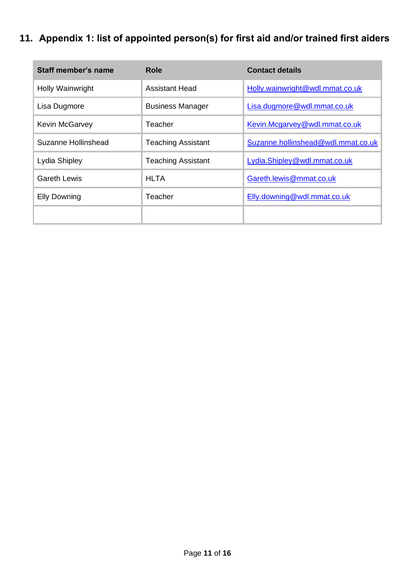# <span id="page-10-0"></span>**11. Appendix 1: list of appointed person(s) for first aid and/or trained first aiders**

| <b>Staff member's name</b> | Role                      | <b>Contact details</b>             |
|----------------------------|---------------------------|------------------------------------|
| Holly Wainwright           | <b>Assistant Head</b>     | Holly.wainwright@wdl.mmat.co.uk    |
| Lisa Dugmore               | <b>Business Manager</b>   | Lisa.dugmore@wdl.mmat.co.uk        |
| <b>Kevin McGarvey</b>      | Teacher                   | Kevin.Mcgarvey@wdl.mmat.co.uk      |
| Suzanne Hollinshead        | <b>Teaching Assistant</b> | Suzanne.hollinshead@wdl.mmat.co.uk |
| Lydia Shipley              | <b>Teaching Assistant</b> | Lydia.Shipley@wdl.mmat.co.uk       |
| Gareth Lewis               | <b>HLTA</b>               | Gareth.lewis@mmat.co.uk            |
| <b>Elly Downing</b>        | Teacher                   | Elly.downing@wdl.mmat.co.uk        |
|                            |                           |                                    |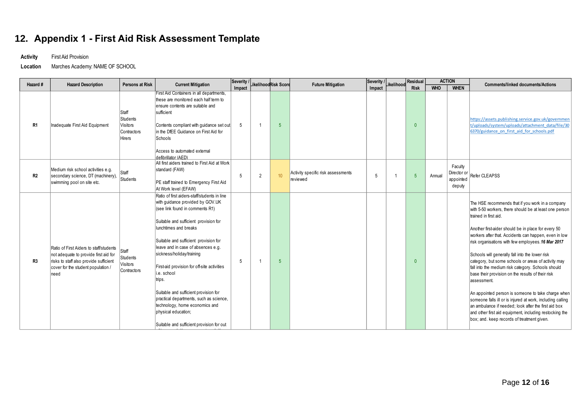# **12. Appendix 1 - First Aid Risk Assessment Template**

**Activity** First Aid Provision

**Location** Marches Academy: NAME OF SCHOOL

<span id="page-11-0"></span>

| Hazard #       | <b>Hazard Description</b>                                                                                                                                                | Persons at Risk                                               | <b>Current Mitigation</b>                                                                                                                                                                                                                                                                                                                                                                                                                                                                                                                                           |        |                | Severity / Likelihood Risk Score | <b>Future Mitigation</b>                       | Severity / Likelihood / |  | Residual    | <b>ACTION</b> |                                               | <b>Comments/linked documents/Actions</b>                                                                                                                                                                                                                                                                                                                                                                                                                                                                                                                                                                                                                                                                                                                                                                                                   |  |
|----------------|--------------------------------------------------------------------------------------------------------------------------------------------------------------------------|---------------------------------------------------------------|---------------------------------------------------------------------------------------------------------------------------------------------------------------------------------------------------------------------------------------------------------------------------------------------------------------------------------------------------------------------------------------------------------------------------------------------------------------------------------------------------------------------------------------------------------------------|--------|----------------|----------------------------------|------------------------------------------------|-------------------------|--|-------------|---------------|-----------------------------------------------|--------------------------------------------------------------------------------------------------------------------------------------------------------------------------------------------------------------------------------------------------------------------------------------------------------------------------------------------------------------------------------------------------------------------------------------------------------------------------------------------------------------------------------------------------------------------------------------------------------------------------------------------------------------------------------------------------------------------------------------------------------------------------------------------------------------------------------------------|--|
|                |                                                                                                                                                                          |                                                               |                                                                                                                                                                                                                                                                                                                                                                                                                                                                                                                                                                     | Impact |                |                                  |                                                | Impact                  |  | <b>Risk</b> | <b>WHO</b>    | <b>WHEN</b>                                   |                                                                                                                                                                                                                                                                                                                                                                                                                                                                                                                                                                                                                                                                                                                                                                                                                                            |  |
| R <sub>1</sub> | Inadequate First Aid Equipment                                                                                                                                           | Staff<br>Students<br><b>Visitors</b><br>Contractors<br>Hirers | First Aid Containers in all departments,<br>these are monitored each half term to<br>ensure contents are suitable and<br>sufficient<br>Contents compliant with guidance set out<br>in the DfEE Guidance on First Aid for<br>Schools<br>Access to automated external                                                                                                                                                                                                                                                                                                 | 5      |                | $\overline{5}$                   |                                                |                         |  | $\Omega$    |               |                                               | https://assets.publishing.service.gov.uk/governmen<br>t/uploads/system/uploads/attachment_data/file/30<br>6370/guidance on first aid for schools.pdf                                                                                                                                                                                                                                                                                                                                                                                                                                                                                                                                                                                                                                                                                       |  |
| R2             | Medium risk school activities e.g.<br>secondary science, DT (machinery),<br>swimming pool on site etc.                                                                   | Staff<br>Students                                             | defibrillator (AED)<br>All first aiders trained to First Aid at Work<br>standard (FAW)<br>PE staff trained to Emergency First Aid<br>At Work level (EFAW)                                                                                                                                                                                                                                                                                                                                                                                                           | 5      | $\overline{2}$ | 10                               | Activity specific risk assessments<br>reviewed | 5                       |  | -5          | Annual        | Faculty<br>Director or<br>appointed<br>deputy | Refer CLEAPSS                                                                                                                                                                                                                                                                                                                                                                                                                                                                                                                                                                                                                                                                                                                                                                                                                              |  |
| R3             | Ratio of First Aiders to staff/students<br>not adequate to provide first aid for<br>risks to staff also provide sufficient<br>cover for the student population /<br>need | Staff<br>Students<br>Visitors<br>Contractors                  | Ratio of first aiders-staff/students in line<br>with guidance provided by GOV.UK<br>(see link found in comments R1)<br>Suitable and sufficient provision for<br>lunchtimes and breaks<br>Suitable and sufficient provision for<br>leave and in case of absences e.g.<br>sickness/holiday/training<br>First-aid provision for off-site activities<br>i.e. school<br>trips.<br>Suitable and sufficient provision for<br>practical departments, such as science,<br>technology, home economics and<br>physical education;<br>Suitable and sufficient provision for out | 5      |                | $\sqrt{5}$                       |                                                |                         |  | $\theta$    |               |                                               | The HSE recommends that if you work in a company<br>with 5-50 workers, there should be at least one person<br>trained in first aid.<br>Another first-aider should be in place for every 50<br>workers after that. Accidents can happen, even in low<br>risk organisations with few employees. 16 Mar 2017<br>Schools will generally fall into the lower risk<br>category, but some schools or areas of activity may<br>fall into the medium risk category. Schools should<br>base their provision on the results of their risk<br>assessment.<br>An appointed person is someone to take charge when<br>someone falls ill or is injured at work, including calling<br>$\vert$ an ambulance if needed: look after the first aid box<br>and other first aid equipment, including restocking the<br>box; and. keep records of treatment given. |  |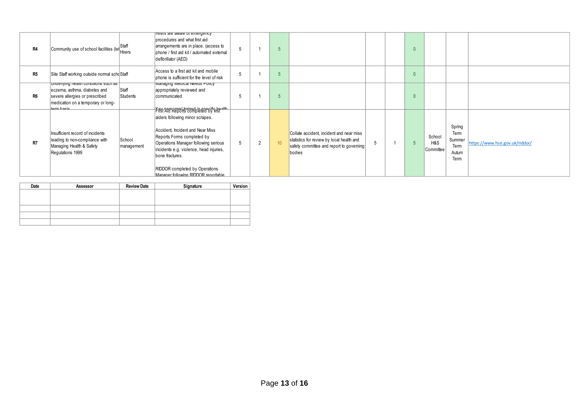| R4             | Community use of school facilities (let Hirers                                                                                                               | Staff                | Hirers are aware of emergency<br>brocedures and what first aid<br>arrangements are in place. (access to<br>bhone / first aid kit / automated external<br>defibrillator (AED)                                                                                                                                                 | 5 |                |                 |                                                                                                                                             |  | $\Omega$ |                            |                                                   |                                |
|----------------|--------------------------------------------------------------------------------------------------------------------------------------------------------------|----------------------|------------------------------------------------------------------------------------------------------------------------------------------------------------------------------------------------------------------------------------------------------------------------------------------------------------------------------|---|----------------|-----------------|---------------------------------------------------------------------------------------------------------------------------------------------|--|----------|----------------------------|---------------------------------------------------|--------------------------------|
| R <sub>5</sub> | Site Staff working outside normal schoStaff                                                                                                                  |                      | Access to a first aid kit and mobile<br>bhone is sufficient for the level of risk                                                                                                                                                                                                                                            | 5 |                |                 |                                                                                                                                             |  | $\Omega$ |                            |                                                   |                                |
| R <sub>6</sub> | undenying nearth conditions such as   <br>eczema, asthma, diabetes and<br>severe allergies or prescribed<br>medication on a temporary or long-<br>torm hacic | Staff<br>Students    | managing medical needs Policy<br>appropriately reviewed and<br>communicated                                                                                                                                                                                                                                                  |   |                |                 |                                                                                                                                             |  | $\Omega$ |                            |                                                   |                                |
| R7             | Insufficient record of incidents<br>leading to non-compliance with<br>Managing Health & Safety<br>Regulations 1999                                           | School<br>management | Key por capel trained in second from the<br>aiders following minor scrapes.<br>Accident, Incident and Near Miss<br>Reports Forms completed by<br>Operations Manager following serious<br>incidents e.g. violence, head injuries,<br>bone fractures.<br>RIDDOR completed by Operations<br>Manager following RIDDOR reportable | 5 | $\overline{2}$ | 10 <sup>1</sup> | Collate accident, incident and near miss<br>statistics for review by local health and<br>safety committee and report to governing<br>bodies |  |          | School<br>H&S<br>Committee | Spring<br>Term<br>Summer<br>Term<br>Autum<br>Term | https://www.hse.gov.uk/riddor/ |

| Date | Assessor | <b>Review Date</b> | Signature | Version |
|------|----------|--------------------|-----------|---------|
|      |          |                    |           |         |
|      |          |                    |           |         |
|      |          |                    |           |         |
|      |          |                    |           |         |
|      |          |                    |           |         |
|      |          |                    |           |         |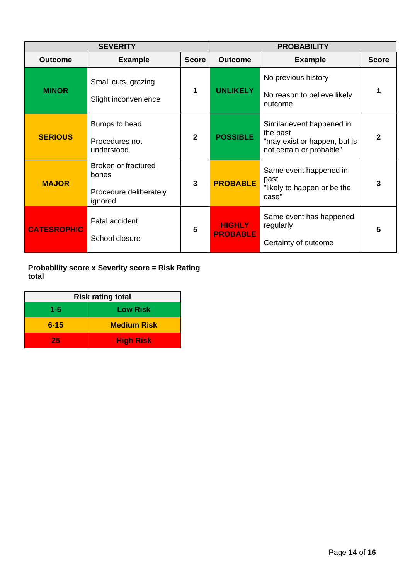|                    | <b>SEVERITY</b>                                                   | <b>PROBABILITY</b> |                                  |                                                                                                   |              |  |
|--------------------|-------------------------------------------------------------------|--------------------|----------------------------------|---------------------------------------------------------------------------------------------------|--------------|--|
| <b>Outcome</b>     | <b>Example</b>                                                    | <b>Score</b>       | <b>Outcome</b>                   | <b>Example</b>                                                                                    | <b>Score</b> |  |
| <b>MINOR</b>       | Small cuts, grazing<br>Slight inconvenience                       | 1                  | <b>UNLIKELY</b>                  | No previous history<br>No reason to believe likely<br>outcome                                     | 1            |  |
| <b>SERIOUS</b>     | Bumps to head<br>Procedures not<br>understood                     | $\overline{2}$     | <b>POSSIBLE</b>                  | Similar event happened in<br>the past<br>"may exist or happen, but is<br>not certain or probable" | 2            |  |
| <b>MAJOR</b>       | Broken or fractured<br>bones<br>Procedure deliberately<br>ignored | 3                  | <b>PROBABLE</b>                  | Same event happened in<br>past<br>"likely to happen or be the<br>case"                            | 3            |  |
| <b>CATESROPHIC</b> | <b>Fatal accident</b><br>School closure                           | 5                  | <b>HIGHLY</b><br><b>PROBABLE</b> | Same event has happened<br>regularly<br>Certainty of outcome                                      | 5            |  |

**Probability score x Severity score = Risk Rating total**

| <b>Risk rating total</b> |                    |  |  |  |  |
|--------------------------|--------------------|--|--|--|--|
| 1-5                      | <b>Low Risk</b>    |  |  |  |  |
| $6 - 15$                 | <b>Medium Risk</b> |  |  |  |  |
| 25                       | <b>High Risk</b>   |  |  |  |  |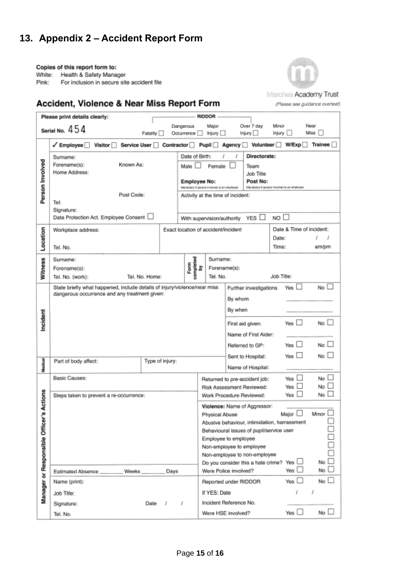# <span id="page-14-0"></span>**13. Appendix 2 – Accident Report Form**

<span id="page-14-1"></span>Copies of this report form to:

White: Health & Safety Manager

Pink: For inclusion in secure site accident file



(Please see guidance overleaf)

# Accident, Violence & Near Miss Report Form

|                              | Please print details clearly:                                                                 |                 |                                                                                                                                   | RIDDOR                                                                                   |                                               |                          |                            |  |  |
|------------------------------|-----------------------------------------------------------------------------------------------|-----------------|-----------------------------------------------------------------------------------------------------------------------------------|------------------------------------------------------------------------------------------|-----------------------------------------------|--------------------------|----------------------------|--|--|
|                              | Serial No. $454$                                                                              | Fatality        | Dangerous<br>Occurrence                                                                                                           | Major<br>linjury                                                                         | Over 7 day<br>Injury III                      | Minor<br>Injury          | Near<br>Miss <sub>II</sub> |  |  |
|                              | Service User<br>$\checkmark$ Employee $\Box$<br><b>Visitor</b>                                | Contractor      |                                                                                                                                   | $P$ upil $\Box$<br>Agency D                                                              | Volunteer <sup>[1]</sup>                      | <b>W/Exp</b>             | Trainee                    |  |  |
| Person Involved              | Surname:<br>Known As:<br>Forename(s):<br>Home Address:                                        |                 | Date of Birth:<br>Male [<br><b>Employee No:</b>                                                                                   | Female                                                                                   | Directorate:<br>Team<br>Job Title<br>Post No: |                          |                            |  |  |
|                              | Post Code:<br>Tel:<br>Signature:                                                              |                 | Mandatory if person involved is an employee<br>lifandstory if person involved is an employee<br>Activity at the time of incident: |                                                                                          |                                               |                          |                            |  |  |
|                              | Data Protection Act. Employee Consent                                                         |                 |                                                                                                                                   | With supervision/authority                                                               | YES $\Box$                                    | NO <sub>1</sub>          |                            |  |  |
|                              | Workplace address:                                                                            |                 |                                                                                                                                   | Exact location of accident/incident                                                      |                                               | Date & Time of incident: |                            |  |  |
| Location                     | Tel. No.                                                                                      |                 |                                                                                                                                   |                                                                                          |                                               | Date:<br>Time:           | am/pm                      |  |  |
|                              | Surname:                                                                                      |                 |                                                                                                                                   | Sumame:                                                                                  |                                               |                          |                            |  |  |
| <b>Witness</b>               | Forename(s):                                                                                  | Tel. No. Home:  | Form<br>completed<br>by                                                                                                           | Forename(s):<br>Tel. No.                                                                 |                                               | Job Title:               |                            |  |  |
|                              | Tel. No. (work):<br>State briefly what happened, include details of injury/violence/near miss |                 |                                                                                                                                   |                                                                                          | No $\Box$                                     |                          |                            |  |  |
|                              | dangerous occurrence and any treatment given:                                                 |                 |                                                                                                                                   |                                                                                          | Yes<br>Further investigations<br>By whom      |                          |                            |  |  |
|                              |                                                                                               |                 |                                                                                                                                   |                                                                                          | By when                                       |                          |                            |  |  |
| Incident                     |                                                                                               |                 |                                                                                                                                   |                                                                                          | First aid given:                              | Yes $\Box$               | No                         |  |  |
|                              |                                                                                               |                 |                                                                                                                                   | Name of First Aider:                                                                     |                                               |                          |                            |  |  |
|                              |                                                                                               |                 |                                                                                                                                   |                                                                                          | Referred to GP:                               | Yes                      | No                         |  |  |
| Medical                      | Part of body affect:                                                                          | Type of injury: |                                                                                                                                   |                                                                                          | Sent to Hospital:                             | Yes                      | No                         |  |  |
|                              |                                                                                               |                 |                                                                                                                                   |                                                                                          | Name of Hospital:                             |                          |                            |  |  |
|                              | Basic Causes:                                                                                 |                 |                                                                                                                                   | No<br>Yes<br>Returned to pre-accident job:<br>No<br>Yes<br>Risk Assessment Reviewed:     |                                               |                          |                            |  |  |
|                              | Steps taken to prevent a re-occurrence:                                                       |                 |                                                                                                                                   | Work Procedure Reviewed:                                                                 |                                               | Yes                      | No                         |  |  |
| er's Actions                 |                                                                                               |                 |                                                                                                                                   | Violence: Name of Aggressor:                                                             |                                               |                          |                            |  |  |
|                              |                                                                                               |                 |                                                                                                                                   | Minor<br>Major<br>Physical Abuse                                                         |                                               |                          |                            |  |  |
|                              |                                                                                               |                 |                                                                                                                                   | Abusive behaviour, intimidation, harrassment<br>Behavioural issues of pupil/service user |                                               |                          |                            |  |  |
|                              |                                                                                               |                 |                                                                                                                                   | Employee to employee                                                                     |                                               |                          |                            |  |  |
|                              |                                                                                               |                 |                                                                                                                                   | Non-employee to employee<br>Non-employee to non-employee                                 |                                               |                          |                            |  |  |
|                              |                                                                                               |                 |                                                                                                                                   | Do you consider this a hate crime?                                                       |                                               | Yes                      | No                         |  |  |
|                              | Estimated Absence<br>Weeks                                                                    | Days            |                                                                                                                                   | Were Police involved?                                                                    |                                               | Yes                      | No                         |  |  |
|                              | Name (print):                                                                                 |                 |                                                                                                                                   | Reported under RIDDOR                                                                    |                                               | Yes                      | No l                       |  |  |
| Manager or Responsible Offic | Job Title:                                                                                    |                 |                                                                                                                                   | If YES: Date                                                                             |                                               |                          | J                          |  |  |
|                              | Signature:                                                                                    | Date<br>s       | 1                                                                                                                                 | Incident Reference No.                                                                   |                                               |                          |                            |  |  |
|                              | Tel. No.                                                                                      |                 |                                                                                                                                   | Were HSE involved?                                                                       |                                               | Yes $\square$            | No l                       |  |  |